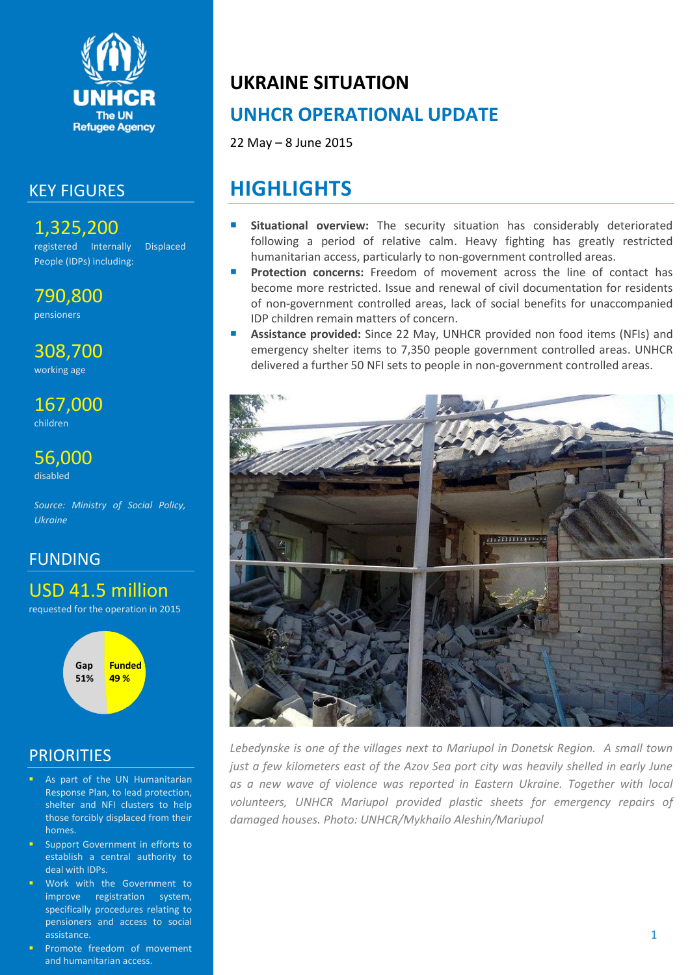

#### KEY FIGURES

1,325,200 registered Internally Displaced People (IDPs) including:

790,800 pensioners

308,700 working age

167,000 children

56,000 disabled

*Source: Ministry of Social Policy, Ukraine*

#### FUNDING

USD 41.5 million

requested for the operation in 2015



### **PRIORITIES**

- As part of the UN Humanitarian Response Plan, to lead protection, shelter and NFI clusters to help those forcibly displaced from their homes.
- Support Government in efforts to establish a central authority to deal with IDPs.
- Work with the Government to improve registration system, specifically procedures relating to pensioners and access to social assistance.
- Promote freedom of movement and humanitarian access.

# **UKRAINE SITUATION**

# **UNHCR OPERATIONAL UPDATE**

22 May – 8 June 2015

# **HIGHLIGHTS**

- **Situational overview:** The security situation has considerably deteriorated following a period of relative calm. Heavy fighting has greatly restricted humanitarian access, particularly to non-government controlled areas.
- **Protection concerns:** Freedom of movement across the line of contact has become more restricted. Issue and renewal of civil documentation for residents of non-government controlled areas, lack of social benefits for unaccompanied IDP children remain matters of concern.
- **Assistance provided:** Since 22 May, UNHCR provided non food items (NFIs) and emergency shelter items to 7,350 people government controlled areas. UNHCR delivered a further 50 NFI sets to people in non-government controlled areas.



Lebedynske is one of the villages next to Mariupol in Donetsk Region. A small town *just a few kilometers east of the Azov Sea port city was heavily shelled in early June*  as a new wave of violence was reported in Eastern Ukraine. Together with local *volunteers, UNHCR Mariupol provided plastic sheets for emergency repairs of damaged houses. Photo: UNHCR/Mykhailo Aleshin/Mariupol*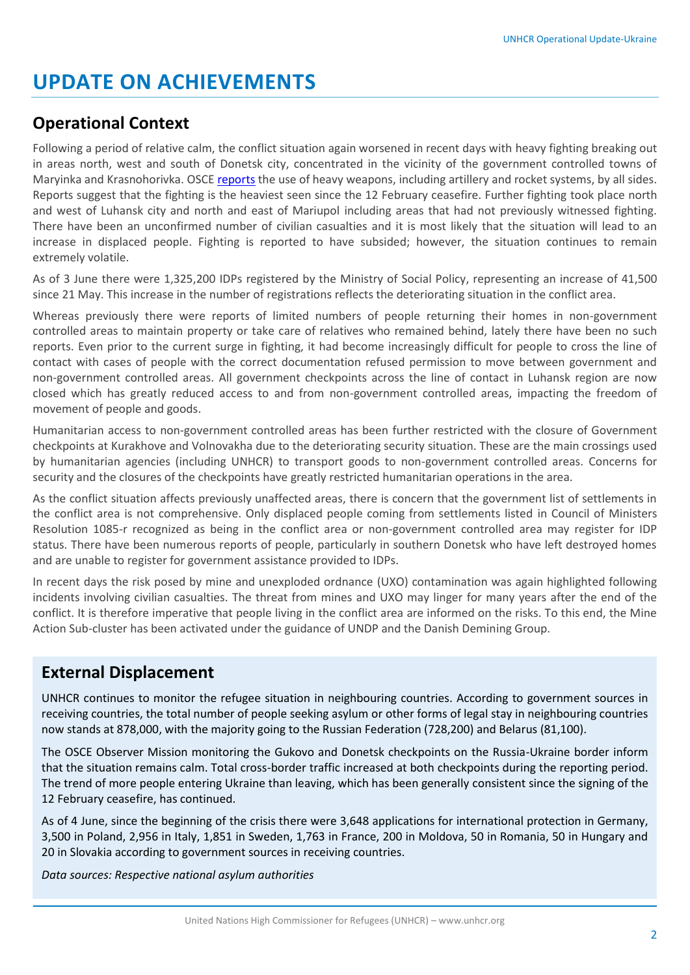# **UPDATE ON ACHIEVEMENTS**

### **Operational Context**

Following a period of relative calm, the conflict situation again worsened in recent days with heavy fighting breaking out in areas north, west and south of Donetsk city, concentrated in the vicinity of the government controlled towns of Maryinka and Krasnohorivka. OSC[E reports](http://www.osce.org/ukraine-smm/162216?download=true) the use of heavy weapons, including artillery and rocket systems, by all sides. Reports suggest that the fighting is the heaviest seen since the 12 February ceasefire. Further fighting took place north and west of Luhansk city and north and east of Mariupol including areas that had not previously witnessed fighting. There have been an unconfirmed number of civilian casualties and it is most likely that the situation will lead to an increase in displaced people. Fighting is reported to have subsided; however, the situation continues to remain extremely volatile.

As of 3 June there were 1,325,200 IDPs registered by the Ministry of Social Policy, representing an increase of 41,500 since 21 May. This increase in the number of registrations reflects the deteriorating situation in the conflict area.

Whereas previously there were reports of limited numbers of people returning their homes in non-government controlled areas to maintain property or take care of relatives who remained behind, lately there have been no such reports. Even prior to the current surge in fighting, it had become increasingly difficult for people to cross the line of contact with cases of people with the correct documentation refused permission to move between government and non-government controlled areas. All government checkpoints across the line of contact in Luhansk region are now closed which has greatly reduced access to and from non-government controlled areas, impacting the freedom of movement of people and goods.

Humanitarian access to non-government controlled areas has been further restricted with the closure of Government checkpoints at Kurakhove and Volnovakha due to the deteriorating security situation. These are the main crossings used by humanitarian agencies (including UNHCR) to transport goods to non-government controlled areas. Concerns for security and the closures of the checkpoints have greatly restricted humanitarian operations in the area.

As the conflict situation affects previously unaffected areas, there is concern that the government list of settlements in the conflict area is not comprehensive. Only displaced people coming from settlements listed in Council of Ministers Resolution 1085-r recognized as being in the conflict area or non-government controlled area may register for IDP status. There have been numerous reports of people, particularly in southern Donetsk who have left destroyed homes and are unable to register for government assistance provided to IDPs.

In recent days the risk posed by mine and unexploded ordnance (UXO) contamination was again highlighted following incidents involving civilian casualties. The threat from mines and UXO may linger for many years after the end of the conflict. It is therefore imperative that people living in the conflict area are informed on the risks. To this end, the Mine Action Sub-cluster has been activated under the guidance of UNDP and the Danish Demining Group.

### **External Displacement**

UNHCR continues to monitor the refugee situation in neighbouring countries. According to government sources in receiving countries, the total number of people seeking asylum or other forms of legal stay in neighbouring countries now stands at 878,000, with the majority going to the Russian Federation (728,200) and Belarus (81,100).

The OSCE Observer Mission monitoring the Gukovo and Donetsk checkpoints on the Russia-Ukraine border inform that the situation remains calm. Total cross-border traffic increased at both checkpoints during the reporting period. The trend of more people entering Ukraine than leaving, which has been generally consistent since the signing of the 12 February ceasefire, has continued.

As of 4 June, since the beginning of the crisis there were 3,648 applications for international protection in Germany, 3,500 in Poland, 2,956 in Italy, 1,851 in Sweden, 1,763 in France, 200 in Moldova, 50 in Romania, 50 in Hungary and 20 in Slovakia according to government sources in receiving countries.

*Data sources: Respective national asylum authorities*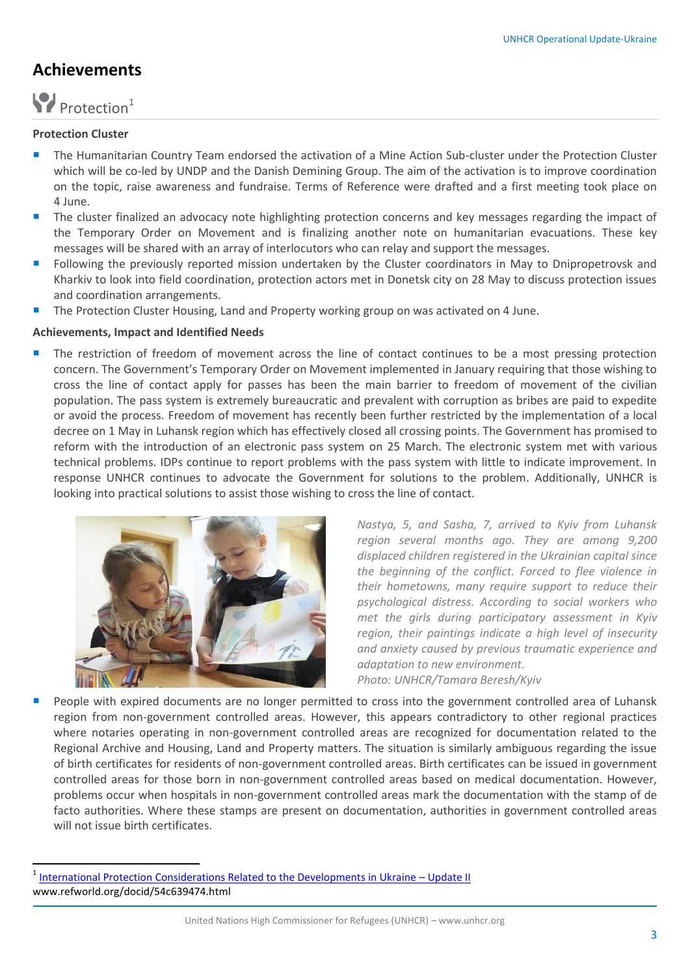#### **Achievements**

# Protection<sup>1</sup>

#### **Protection Cluster**

 $\overline{a}$ 

- **The Humanitarian Country Team endorsed the activation of a Mine Action Sub-cluster under the Protection Cluster** which will be co-led by UNDP and the Danish Demining Group. The aim of the activation is to improve coordination on the topic, raise awareness and fundraise. Terms of Reference were drafted and a first meeting took place on 4 June.
- **The cluster finalized an advocacy note highlighting protection concerns and key messages regarding the impact of** the Temporary Order on Movement and is finalizing another note on humanitarian evacuations. These key messages will be shared with an array of interlocutors who can relay and support the messages.
- **F** Following the previously reported mission undertaken by the Cluster coordinators in May to Dnipropetrovsk and Kharkiv to look into field coordination, protection actors met in Donetsk city on 28 May to discuss protection issues and coordination arrangements.
- The Protection Cluster Housing, Land and Property working group on was activated on 4 June.

#### **Achievements, Impact and Identified Needs**

 The restriction of freedom of movement across the line of contact continues to be a most pressing protection concern. The Government's Temporary Order on Movement implemented in January requiring that those wishing to cross the line of contact apply for passes has been the main barrier to freedom of movement of the civilian population. The pass system is extremely bureaucratic and prevalent with corruption as bribes are paid to expedite or avoid the process. Freedom of movement has recently been further restricted by the implementation of a local decree on 1 May in Luhansk region which has effectively closed all crossing points. The Government has promised to reform with the introduction of an electronic pass system on 25 March. The electronic system met with various technical problems. IDPs continue to report problems with the pass system with little to indicate improvement. In response UNHCR continues to advocate the Government for solutions to the problem. Additionally, UNHCR is looking into practical solutions to assist those wishing to cross the line of contact.



*Nastya, 5, and Sasha, 7, arrived to Kyiv from Luhansk region several months ago. They are among 9,200 displaced children registered in the Ukrainian capital since the beginning of the conflict. Forced to flee violence in their hometowns, many require support to reduce their psychological distress. According to social workers who met the girls during participatory assessment in Kyiv region, their paintings indicate a high level of insecurity and anxiety caused by previous traumatic experience and adaptation to new environment. Photo: UNHCR/Tamara Beresh/Kyiv*

 People with expired documents are no longer permitted to cross into the government controlled area of Luhansk region from non-government controlled areas. However, this appears contradictory to other regional practices where notaries operating in non-government controlled areas are recognized for documentation related to the Regional Archive and Housing, Land and Property matters. The situation is similarly ambiguous regarding the issue of birth certificates for residents of non-government controlled areas. Birth certificates can be issued in government controlled areas for those born in non-government controlled areas based on medical documentation. However, problems occur when hospitals in non-government controlled areas mark the documentation with the stamp of de facto authorities. Where these stamps are present on documentation, authorities in government controlled areas will not issue birth certificates.

<sup>1</sup> [International Protection Considerations Related to the Developments in Ukraine](http://www.refworld.org/docid/54c639474.html) – Update II www.refworld.org/docid/54c639474.html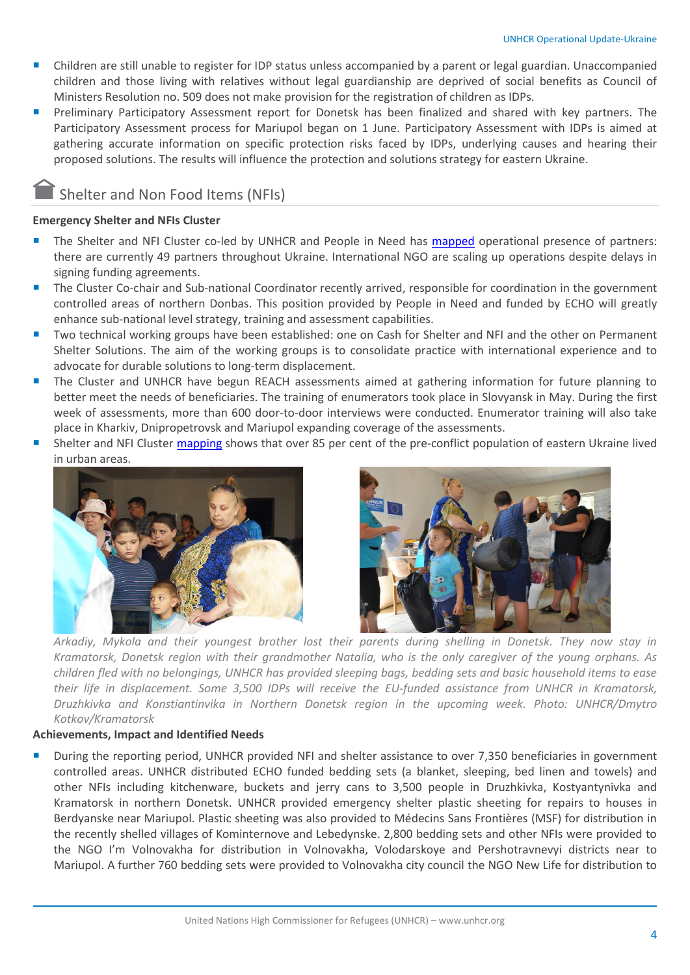- Children are still unable to register for IDP status unless accompanied by a parent or legal guardian. Unaccompanied children and those living with relatives without legal guardianship are deprived of social benefits as Council of Ministers Resolution no. 509 does not make provision for the registration of children as IDPs.
- Preliminary Participatory Assessment report for Donetsk has been finalized and shared with key partners. The Participatory Assessment process for Mariupol began on 1 June. Participatory Assessment with IDPs is aimed at gathering accurate information on specific protection risks faced by IDPs, underlying causes and hearing their proposed solutions. The results will influence the protection and solutions strategy for eastern Ukraine.

#### Shelter and Non Food Items (NFIs)

#### **Emergency Shelter and NFIs Cluster**

- The Shelter and NFI Cluster co-led by UNHCR and People in Need has [mapped](http://www.sheltercluster.org/library/3w-maps) operational presence of partners: there are currently 49 partners throughout Ukraine. International NGO are scaling up operations despite delays in signing funding agreements.
- The Cluster Co-chair and Sub-national Coordinator recently arrived, responsible for coordination in the government controlled areas of northern Donbas. This position provided by People in Need and funded by ECHO will greatly enhance sub-national level strategy, training and assessment capabilities.
- Two technical working groups have been established: one on Cash for Shelter and NFI and the other on Permanent Shelter Solutions. The aim of the working groups is to consolidate practice with international experience and to advocate for durable solutions to long-term displacement.
- The Cluster and UNHCR have begun REACH assessments aimed at gathering information for future planning to better meet the needs of beneficiaries. The training of enumerators took place in Slovyansk in May. During the first week of assessments, more than 600 door-to-door interviews were conducted. Enumerator training will also take place in Kharkiv, Dnipropetrovsk and Mariupol expanding coverage of the assessments.
- Shelter and NFI Cluster [mapping](http://www.sheltercluster.org/sites/default/files/docs/ukr_urbanization_v3.pdf) shows that over 85 per cent of the pre-conflict population of eastern Ukraine lived in urban areas.





*Arkadiy, Mykola and their youngest brother lost their parents during shelling in Donetsk. They now stay in Kramatorsk, Donetsk region with their grandmother Natalia, who is the only caregiver of the young orphans. As children fled with no belongings, UNHCR has provided sleeping bags, bedding sets and basic household items to ease their life in displacement. Some 3,500 IDPs will receive the EU-funded assistance from UNHCR in Kramatorsk, Druzhkivka and Konstiantinvika in Northern Donetsk region in the upcoming week. Photo: UNHCR/Dmytro Kotkov/Kramatorsk*

#### **Achievements, Impact and Identified Needs**

 During the reporting period, UNHCR provided NFI and shelter assistance to over 7,350 beneficiaries in government controlled areas. UNHCR distributed ECHO funded bedding sets (a blanket, sleeping, bed linen and towels) and other NFIs including kitchenware, buckets and jerry cans to 3,500 people in Druzhkivka, Kostyantynivka and Kramatorsk in northern Donetsk. UNHCR provided emergency shelter plastic sheeting for repairs to houses in Berdyanske near Mariupol. Plastic sheeting was also provided to Médecins Sans Frontières (MSF) for distribution in the recently shelled villages of Kominternove and Lebedynske. 2,800 bedding sets and other NFIs were provided to the NGO I'm Volnovakha for distribution in Volnovakha, Volodarskoye and Pershotravnevyi districts near to Mariupol. A further 760 bedding sets were provided to Volnovakha city council the NGO New Life for distribution to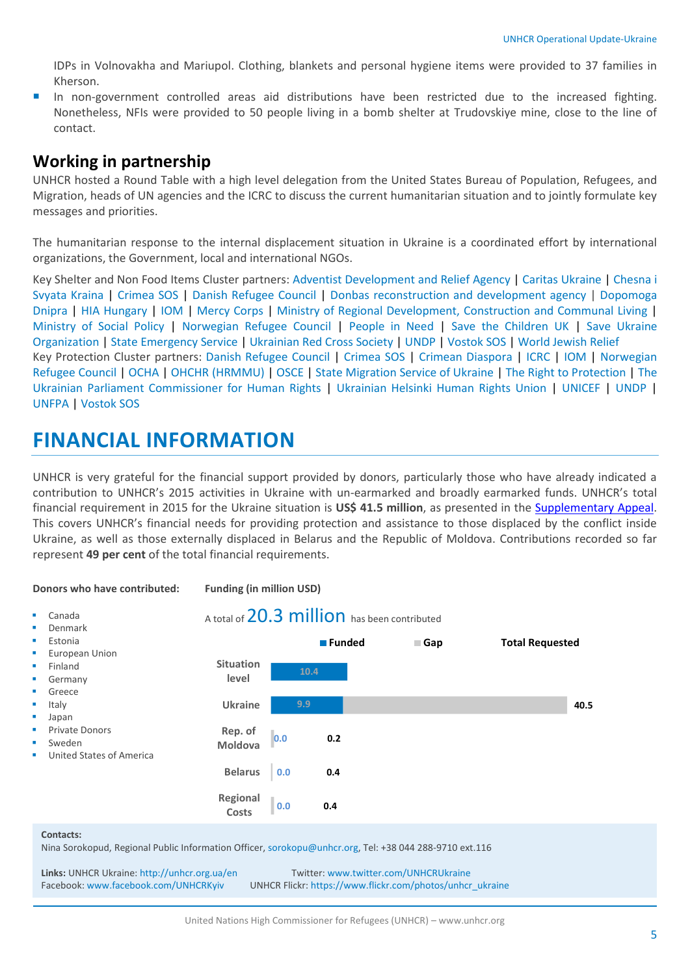IDPs in Volnovakha and Mariupol. Clothing, blankets and personal hygiene items were provided to 37 families in Kherson.

In non-government controlled areas aid distributions have been restricted due to the increased fighting. Nonetheless, NFIs were provided to 50 people living in a bomb shelter at Trudovskiye mine, close to the line of contact.

#### **Working in partnership**

UNHCR hosted a Round Table with a high level delegation from the United States Bureau of Population, Refugees, and Migration, heads of UN agencies and the ICRC to discuss the current humanitarian situation and to jointly formulate key messages and priorities.

The humanitarian response to the internal displacement situation in Ukraine is a coordinated effort by international organizations, the Government, local and international NGOs.

Key Shelter and Non Food Items Cluster partners: [Adventist Development and Relief Agency](http://www.adra.org/site/PageServer) | [Caritas Ukraine](http://www.caritas-ua.org/index.php?lang=en) | [Chesna i](https://www.facebook.com/pages/%D0%93%D1%80%D0%BE%D0%BC%D0%B0%D0%B4%D1%81%D1%8C%D0%BA%D0%B0-%D0%BE%D1%80%D0%B3%D0%B0%D0%BD%D1%96%D0%B7%D0%B0%D1%86%D1%96%D1%8F-%D0%A7%D0%B5%D1%81%D0%BD%D0%B0-%D1%96-%D1%81%D0%B2%D1%8F%D1%82%D0%B0-%D0%BA%D1%80%D0%B0%D1%97%D0%BD%D0%B0/154883207995677?sk=photos_stream)  [Svyata Kraina](https://www.facebook.com/pages/%D0%93%D1%80%D0%BE%D0%BC%D0%B0%D0%B4%D1%81%D1%8C%D0%BA%D0%B0-%D0%BE%D1%80%D0%B3%D0%B0%D0%BD%D1%96%D0%B7%D0%B0%D1%86%D1%96%D1%8F-%D0%A7%D0%B5%D1%81%D0%BD%D0%B0-%D1%96-%D1%81%D0%B2%D1%8F%D1%82%D0%B0-%D0%BA%D1%80%D0%B0%D1%97%D0%BD%D0%B0/154883207995677?sk=photos_stream) | [Crimea SOS](http://krymsos.com/) | [Danish Refugee Council](http://www.drc.dk/home/) | [Donbas](http://www.ard.org.ua/) reconstruction and development agency | [Dopomoga](https://www.facebook.com/helpdnieper)  [Dnipra](https://www.facebook.com/helpdnieper) | [HIA Hungary](http://www.segelyszervezet.hu/en/ukraine-humanitarian-assistance) | [IOM](http://www.iom.org.ua/) | Mercy Corps | Ministry of Regional Development, Construction and Communal Living | Ministry of Social Policy | [Norwegian Refugee Council](http://www.nrc.no/) | [People in Need](http://www.clovekvtisni.cz/en) | [Save the Children UK](http://www.savethechildren.org.uk/) | [Save Ukraine](http://www.helpua.center/)  [Organization](http://www.helpua.center/) | [State Emergency Service](http://mns.gov.ua/) | Ukrainian Red Cross Society | [UNDP](http://www.ua.undp.org/content/ukraine/en/home.html) | [Vostok SOS](http://vostok-sos.org/) | [World Jewish Relief](https://www.wjr.org.uk/) Key Protection Cluster partners: [Danish Refugee Council](http://www.drc.dk/home/) | [Crimea SOS](http://krymsos.com/) | [Crimean Diaspora](http://crimea-diaspora.org/) | [ICRC](http://www.redcross.org.ua/eng/index.php?pageid=13) | [IOM](http://www.iom.org.ua/) | Norwegian Refugee Council | [OCHA](http://www.unocha.org/) [| OHCHR \(HRMMU\)](http://www.ohchr.org/EN/Pages/WelcomePage.aspx) [| OSCE](http://www.osce.org/) | [State Migration Service of Ukraine](http://dmsu.gov.ua/) | [The Right to Protection](http://www.ombudsman.gov.ua/en/) | The [Ukrainian Parliament Commissioner for Human Rights](http://www.ombudsman.gov.ua/en/) | [Ukrainian Helsinki Human Rights Union](http://helsinki.org.ua/en/) | [UNICEF](http://www.unicef.org/ukraine/) | [UNDP](http://www.ua.undp.org/content/ukraine/en/home.html) | [UNFPA](http://www.unfpa.org.ua/eng/unfpa_in_ukraine.html) | [Vostok SOS](http://vostok-sos.org/)

## **FINANCIAL INFORMATION**

UNHCR is very grateful for the financial support provided by donors, particularly those who have already indicated a contribution to UNHCR's 2015 activities in Ukraine with un-earmarked and broadly earmarked funds. UNHCR's total financial requirement in 2015 for the Ukraine situation is **US\$ 41.5 million**, as presented in the [Supplementary Appeal.](http://www.unhcr.org/54d3923b9.html) This covers UNHCR's financial needs for providing protection and assistance to those displaced by the conflict inside Ukraine, as well as those externally displaced in Belarus and the Republic of Moldova. Contributions recorded so far represent **49 per cent** of the total financial requirements.



Facebook: [www.facebook.com/UNHCRKyiv](http://www.facebook.com/UNHCRKyiv) UNHCR Flickr: https://www.flickr.com/photos/unhcr\_ukraine